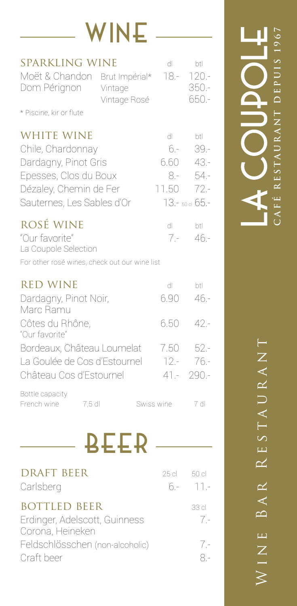|                                                                                                                                                 | /INE                    |                                         |                                                              |
|-------------------------------------------------------------------------------------------------------------------------------------------------|-------------------------|-----------------------------------------|--------------------------------------------------------------|
| <b>SPARKLING WINE</b><br>Moët & Chandon Brut Impérial*<br>Dom Pérignon<br>* Piscine, kir or flute                                               | Vintage<br>Vintage Rosé | dl<br>18.-                              | btl<br>$120 -$<br>$350 -$<br>650.-                           |
| <b>WHITE WINE</b><br>Chile, Chardonnay<br>Dardagny, Pinot Gris<br>Epesses, Clos du Boux<br>Dézaley, Chemin de Fer<br>Sauternes, Les Sables d'Or |                         | dl<br>$6. -$<br>6.60<br>$8. -$<br>11.50 | btl<br>$39 -$<br>$43 -$<br>54.-<br>$72 -$<br>13.- 50 cl 65.- |
| ROSÉ WINE<br>"Our favorite"<br>La Coupole Selection<br>For other rosé wines, check out our wine list                                            |                         | dl<br>$7 -$                             | btl<br>$46 -$                                                |
| <b>RED WINE</b><br>Dardagny, Pinot Noir,<br>Marc Ramu<br>Côtes du Rhône,<br>"Our favorite"                                                      |                         | dl<br>6.90<br>6.50                      | btl<br>46.-<br>42 -                                          |
| Bordeaux, Château Loumelat<br>La Goulée de Cos d'Estournel<br>Château Cos d'Estournel                                                           |                         | 7.50                                    | $52 -$<br>$12 - 76 -$<br>$41 - 290 -$                        |
| Bottle capacity<br>French wine<br>7,5 dl                                                                                                        |                         | Swiss wine                              | 7 dl                                                         |
|                                                                                                                                                 | <b>BEER</b>             |                                         |                                                              |

| <b>DRAFT BEER</b><br>Carlsberg                                           | 25 cl | -50 cl<br>$6 - 11 -$ |
|--------------------------------------------------------------------------|-------|----------------------|
| <b>BOTTLED BEER</b><br>Erdinger, Adelscott, Guinness<br>Corona, Heineken |       | 33 cl<br>$7 -$       |
| Feldschlösschen (non-alcoholic)<br>Craft beer                            |       | $7 -$                |

CAFÉ RESTAURANT DEPUIS 1967 **café restaurant depuis 1967** HIOGOOY

> WINE BAR RESTAURANT Wine Bar Restaurant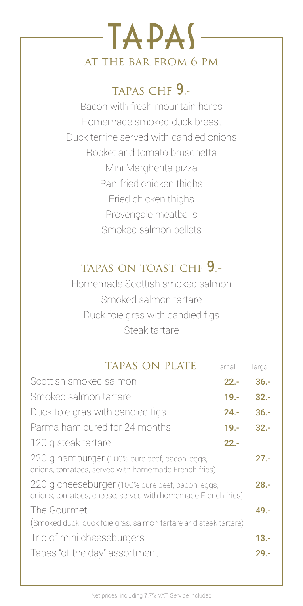### TAPAS at the bar from 6 pm

#### TAPAS CHF 9.-

Bacon with fresh mountain herbs Homemade smoked duck breast Duck terrine served with candied onions Rocket and tomato bruschetta Mini Margherita pizza Pan-fried chicken thighs Fried chicken thighs Provençale meatballs Smoked salmon pellets

#### tapas on toast chf 9.-

Homemade Scottish smoked salmon Smoked salmon tartare Duck foie gras with candied figs Steak tartare

| <b>TAPAS ON PLATE</b>                                                                                            | small   | large   |
|------------------------------------------------------------------------------------------------------------------|---------|---------|
| Scottish smoked salmon                                                                                           | $22 -$  | $36. -$ |
| Smoked salmon tartare                                                                                            |         | $32 -$  |
| Duck foie gras with candied figs                                                                                 |         | $36. -$ |
| Parma ham cured for 24 months                                                                                    | $19. -$ | $32 -$  |
| 120 g steak tartare                                                                                              | $22 -$  |         |
| 220 g hamburger (100% pure beef, bacon, eggs,<br>onions, tomatoes, served with homemade French fries)            |         | $27 -$  |
| 220 g cheeseburger (100% pure beef, bacon, eggs,<br>onions, tomatoes, cheese, served with homemade French fries) |         | $28 -$  |
| The Gourmet<br>(Smoked duck, duck foie gras, salmon tartare and steak tartare)                                   |         |         |
| Trio of mini cheeseburgers                                                                                       |         | $13. -$ |
| Tapas "of the day" assortment                                                                                    |         | 29.-    |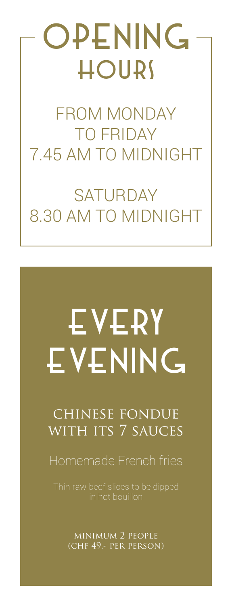## **OPENING** hours

FROM MONDAY TO FRIDAY 7.45 AM TO MIDNIGHT

**SATURDAY** 8.30 AM TO MIDNIGHT

# EVERY EVENING

#### chinese fondue with its 7 sauces

Homemade French fries

in hot bouillon

minimum 2 people (chf 49.- per person)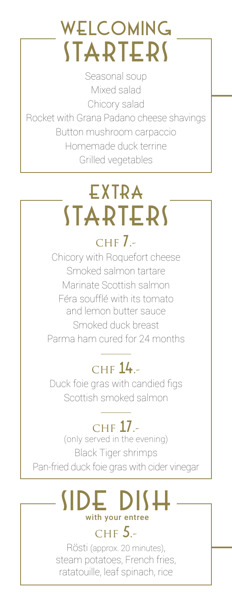### Welcoming **STARTERS**

Seasonal soup Mixed salad Chicory salad Rocket with Grana Padano cheese shavings Button mushroom carpaccio Homemade duck terrine Grilled vegetables

### EXTRA **STARTERS**

#### $CHF$   $\overline{J}$ .

Chicory with Roquefort cheese Smoked salmon tartare Marinate Scottish salmon Féra soufflé with its tomato and lemon butter sauce Smoked duck breast Parma ham cured for 24 months

#### CHF  $14.$ -

Duck foie gras with candied figs Scottish smoked salmon

#### CHF 17.-

(only served in the evening) Black Tiger shrimps Pan-fried duck foie gras with cider vinegar

#### side dish with your entree  $CHF$  5 -

Rösti (approx. 20 minutes), steam potatoes, French fries, ratatouille, leaf spinach, rice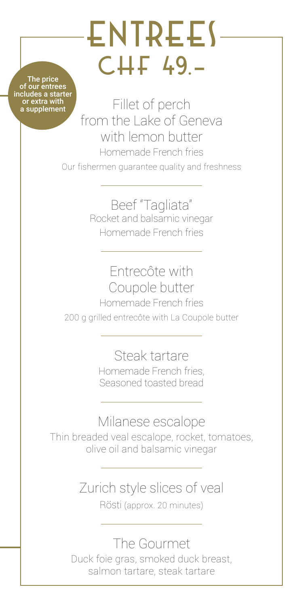# ENTREES CHF 49.-

The price of our entrees includes a starter or extra with a supplement

Fillet of perch from the Lake of Geneva with lemon butter Homemade French fries Our fishermen guarantee quality and freshness

> Beef "Tagliata" Rocket and balsamic vinegar Homemade French fries

Entrecôte with Coupole butter Homemade French fries 200 g grilled entrecôte with La Coupole butter

> Steak tartare Homemade French fries, Seasoned toasted bread

Milanese escalope Thin breaded veal escalope, rocket, tomatoes, olive oil and balsamic vinegar

> Zurich style slices of veal Rösti (approx. 20 minutes)

The Gourmet Duck foie gras, smoked duck breast, salmon tartare, steak tartare